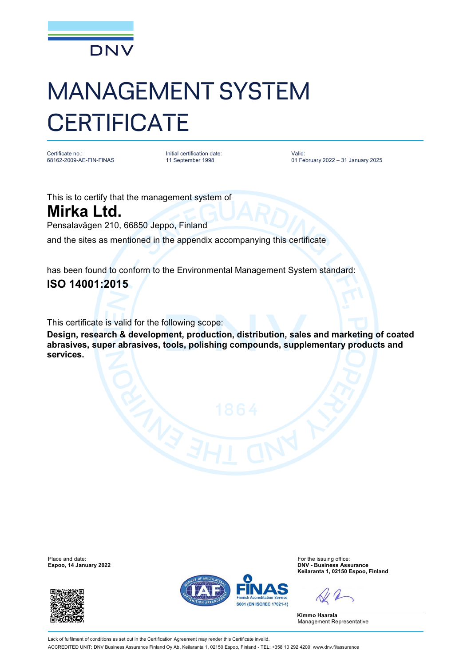

## MANAGEMENT SYSTEM **CERTIFICATE**

Certificate no.: 68162-2009-AE-FIN-FINAS Initial certification date: 11 September 1998

Valid: 01 February 2022 – 31 January 2025

This is to certify that the management system of **Mirka Ltd.**

Pensalavägen 210, 66850 Jeppo, Finland

and the sites as mentioned in the appendix accompanying this certificate

has been found to conform to the Environmental Management System standard: **ISO 14001:2015**

This certificate is valid for the following scope:

**Design, research & development, production, distribution, sales and marketing of coated abrasives, super abrasives, tools, polishing compounds, supplementary products and services.**

**Espoo, 14 January 2022** 





Place and date:<br>
For the issuing office:<br>
For the issuing office:<br> **Espoo. 14 January 2022**<br> **Espoo. 14 January 2022 Keilaranta 1, 02150 Espoo, Finland**

**Kimmo Haarala** Management Representative

Lack of fulfilment of conditions as set out in the Certification Agreement may render this Certificate invalid. ACCREDITED UNIT: DNV Business Assurance Finland Oy Ab, Keilaranta 1, 02150 Espoo, Finland - TEL: +358 10 292 4200. [www.dnv.fi/assurance](http://www.dnv.fi/assurance)